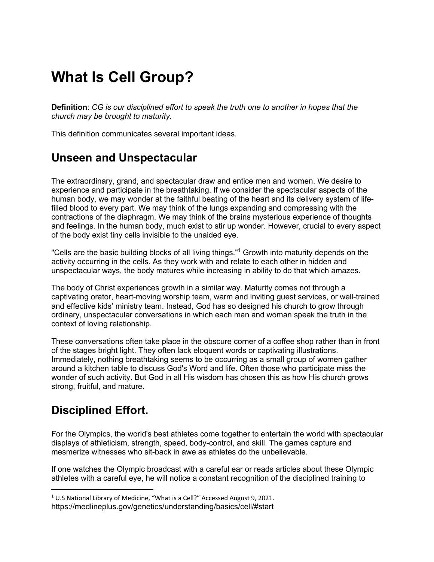# **What Is Cell Group?**

**Definition**: *CG is our disciplined effort to speak the truth one to another in hopes that the church may be brought to maturity.*

This definition communicates several important ideas.

## **Unseen and Unspectacular**

The extraordinary, grand, and spectacular draw and entice men and women. We desire to experience and participate in the breathtaking. If we consider the spectacular aspects of the human body, we may wonder at the faithful beating of the heart and its delivery system of lifefilled blood to every part. We may think of the lungs expanding and compressing with the contractions of the diaphragm. We may think of the brains mysterious experience of thoughts and feelings. In the human body, much exist to stir up wonder. However, crucial to every aspect of the body exist tiny cells invisible to the unaided eye.

"Cells are the basic building blocks of all living things."1 Growth into maturity depends on the activity occurring in the cells. As they work with and relate to each other in hidden and unspectacular ways, the body matures while increasing in ability to do that which amazes.

The body of Christ experiences growth in a similar way. Maturity comes not through a captivating orator, heart-moving worship team, warm and inviting guest services, or well-trained and effective kids' ministry team. Instead, God has so designed his church to grow through ordinary, unspectacular conversations in which each man and woman speak the truth in the context of loving relationship.

These conversations often take place in the obscure corner of a coffee shop rather than in front of the stages bright light. They often lack eloquent words or captivating illustrations. Immediately, nothing breathtaking seems to be occurring as a small group of women gather around a kitchen table to discuss God's Word and life. Often those who participate miss the wonder of such activity. But God in all His wisdom has chosen this as how His church grows strong, fruitful, and mature.

# **Disciplined Effort.**

For the Olympics, the world's best athletes come together to entertain the world with spectacular displays of athleticism, strength, speed, body-control, and skill. The games capture and mesmerize witnesses who sit-back in awe as athletes do the unbelievable.

If one watches the Olympic broadcast with a careful ear or reads articles about these Olympic athletes with a careful eye, he will notice a constant recognition of the disciplined training to

<sup>1</sup> U.S National Library of Medicine, "What is a Cell?" Accessed August 9, 2021.

https://medlineplus.gov/genetics/understanding/basics/cell/#start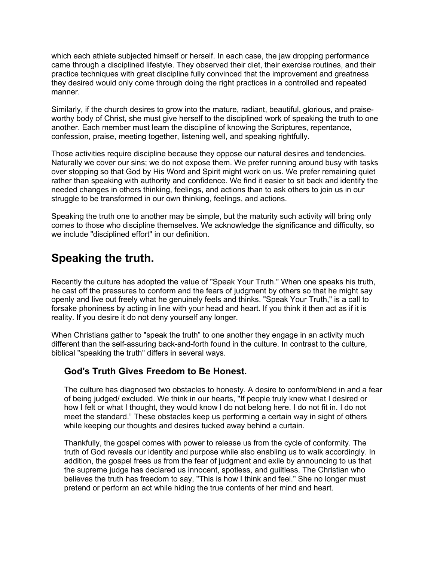which each athlete subjected himself or herself. In each case, the jaw dropping performance came through a disciplined lifestyle. They observed their diet, their exercise routines, and their practice techniques with great discipline fully convinced that the improvement and greatness they desired would only come through doing the right practices in a controlled and repeated manner.

Similarly, if the church desires to grow into the mature, radiant, beautiful, glorious, and praiseworthy body of Christ, she must give herself to the disciplined work of speaking the truth to one another. Each member must learn the discipline of knowing the Scriptures, repentance, confession, praise, meeting together, listening well, and speaking rightfully.

Those activities require discipline because they oppose our natural desires and tendencies. Naturally we cover our sins; we do not expose them. We prefer running around busy with tasks over stopping so that God by His Word and Spirit might work on us. We prefer remaining quiet rather than speaking with authority and confidence. We find it easier to sit back and identify the needed changes in others thinking, feelings, and actions than to ask others to join us in our struggle to be transformed in our own thinking, feelings, and actions.

Speaking the truth one to another may be simple, but the maturity such activity will bring only comes to those who discipline themselves. We acknowledge the significance and difficulty, so we include "disciplined effort" in our definition.

# **Speaking the truth.**

Recently the culture has adopted the value of "Speak Your Truth." When one speaks his truth, he cast off the pressures to conform and the fears of judgment by others so that he might say openly and live out freely what he genuinely feels and thinks. "Speak Your Truth," is a call to forsake phoniness by acting in line with your head and heart. If you think it then act as if it is reality. If you desire it do not deny yourself any longer.

When Christians gather to "speak the truth" to one another they engage in an activity much different than the self-assuring back-and-forth found in the culture. In contrast to the culture, biblical "speaking the truth" differs in several ways.

#### **God's Truth Gives Freedom to Be Honest.**

The culture has diagnosed two obstacles to honesty. A desire to conform/blend in and a fear of being judged/ excluded. We think in our hearts, "If people truly knew what I desired or how I felt or what I thought, they would know I do not belong here. I do not fit in. I do not meet the standard." These obstacles keep us performing a certain way in sight of others while keeping our thoughts and desires tucked away behind a curtain.

Thankfully, the gospel comes with power to release us from the cycle of conformity. The truth of God reveals our identity and purpose while also enabling us to walk accordingly. In addition, the gospel frees us from the fear of judgment and exile by announcing to us that the supreme judge has declared us innocent, spotless, and guiltless. The Christian who believes the truth has freedom to say, "This is how I think and feel." She no longer must pretend or perform an act while hiding the true contents of her mind and heart.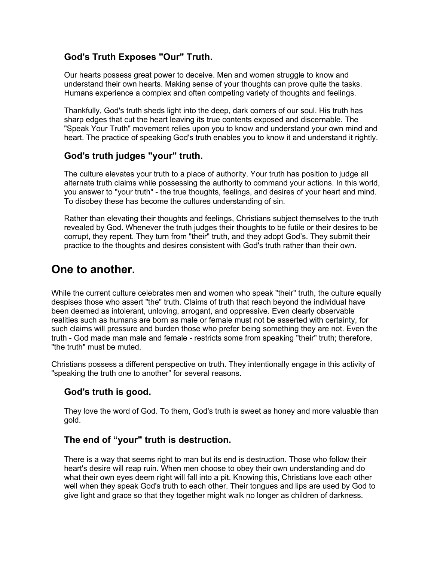#### **God's Truth Exposes "Our" Truth.**

Our hearts possess great power to deceive. Men and women struggle to know and understand their own hearts. Making sense of your thoughts can prove quite the tasks. Humans experience a complex and often competing variety of thoughts and feelings.

Thankfully, God's truth sheds light into the deep, dark corners of our soul. His truth has sharp edges that cut the heart leaving its true contents exposed and discernable. The "Speak Your Truth" movement relies upon you to know and understand your own mind and heart. The practice of speaking God's truth enables you to know it and understand it rightly.

#### **God's truth judges "your" truth.**

The culture elevates your truth to a place of authority. Your truth has position to judge all alternate truth claims while possessing the authority to command your actions. In this world, you answer to "your truth" - the true thoughts, feelings, and desires of your heart and mind. To disobey these has become the cultures understanding of sin.

Rather than elevating their thoughts and feelings, Christians subject themselves to the truth revealed by God. Whenever the truth judges their thoughts to be futile or their desires to be corrupt, they repent. They turn from "their" truth, and they adopt God's. They submit their practice to the thoughts and desires consistent with God's truth rather than their own.

### **One to another.**

While the current culture celebrates men and women who speak "their" truth, the culture equally despises those who assert "the" truth. Claims of truth that reach beyond the individual have been deemed as intolerant, unloving, arrogant, and oppressive. Even clearly observable realities such as humans are born as male or female must not be asserted with certainty, for such claims will pressure and burden those who prefer being something they are not. Even the truth - God made man male and female - restricts some from speaking "their" truth; therefore, "the truth" must be muted.

Christians possess a different perspective on truth. They intentionally engage in this activity of "speaking the truth one to another" for several reasons.

#### **God's truth is good.**

They love the word of God. To them, God's truth is sweet as honey and more valuable than gold.

#### **The end of "your" truth is destruction.**

There is a way that seems right to man but its end is destruction. Those who follow their heart's desire will reap ruin. When men choose to obey their own understanding and do what their own eyes deem right will fall into a pit. Knowing this, Christians love each other well when they speak God's truth to each other. Their tongues and lips are used by God to give light and grace so that they together might walk no longer as children of darkness.